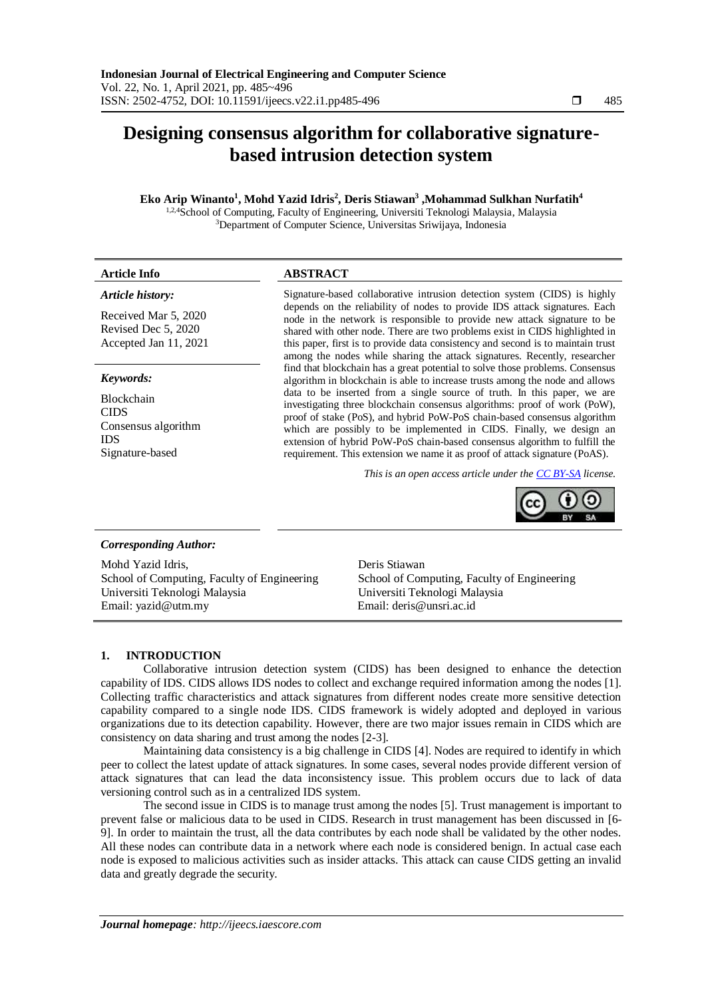# **Designing consensus algorithm for collaborative signaturebased intrusion detection system**

# **Eko Arip Winanto<sup>1</sup> , Mohd Yazid Idris<sup>2</sup> , Deris Stiawan<sup>3</sup> ,Mohammad Sulkhan Nurfatih<sup>4</sup>**

<sup>1,2,4</sup>School of Computing, Faculty of Engineering, Universiti Teknologi Malaysia, Malaysia <sup>3</sup>Department of Computer Science, Universitas Sriwijaya, Indonesia

| <b>Article Info</b>                                                  | <b>ABSTRACT</b>                                                                                                                                                                                                                                                                                                                                                                                        |  |  |  |  |  |  |
|----------------------------------------------------------------------|--------------------------------------------------------------------------------------------------------------------------------------------------------------------------------------------------------------------------------------------------------------------------------------------------------------------------------------------------------------------------------------------------------|--|--|--|--|--|--|
| Article history:                                                     | Signature-based collaborative intrusion detection system (CIDS) is highly                                                                                                                                                                                                                                                                                                                              |  |  |  |  |  |  |
| Received Mar 5, 2020<br>Revised Dec 5, 2020<br>Accepted Jan 11, 2021 | depends on the reliability of nodes to provide IDS attack signatures. Each<br>node in the network is responsible to provide new attack signature to be<br>shared with other node. There are two problems exist in CIDS highlighted in<br>this paper, first is to provide data consistency and second is to maintain trust<br>among the nodes while sharing the attack signatures. Recently, researcher |  |  |  |  |  |  |
| Keywords:                                                            | find that blockchain has a great potential to solve those problems. Consensus<br>algorithm in blockchain is able to increase trusts among the node and allows                                                                                                                                                                                                                                          |  |  |  |  |  |  |

Blockchain CIDS Consensus algorithm IDS Signature-based

data to be inserted from a single source of truth. In this paper, we are investigating three blockchain consensus algorithms: proof of work (PoW), proof of stake (PoS), and hybrid PoW-PoS chain-based consensus algorithm which are possibly to be implemented in CIDS. Finally, we design an extension of hybrid PoW-PoS chain-based consensus algorithm to fulfill the requirement. This extension we name it as proof of attack signature (PoAS).

*This is an open access article under the [CC BY-SA](https://creativecommons.org/licenses/by-sa/4.0/) license.*



## *Corresponding Author:*

Mohd Yazid Idris, School of Computing, Faculty of Engineering Universiti Teknologi Malaysia Email: [yazid@utm.my](mailto:yazid@utm.my)

Deris Stiawan School of Computing, Faculty of Engineering Universiti Teknologi Malaysia Email: deris@unsri.ac.id

## **1. INTRODUCTION**

Collaborative intrusion detection system (CIDS) has been designed to enhance the detection capability of IDS. CIDS allows IDS nodes to collect and exchange required information among the nodes [1]. Collecting traffic characteristics and attack signatures from different nodes create more sensitive detection capability compared to a single node IDS. CIDS framework is widely adopted and deployed in various organizations due to its detection capability. However, there are two major issues remain in CIDS which are consistency on data sharing and trust among the nodes [2-3].

Maintaining data consistency is a big challenge in CIDS [4]. Nodes are required to identify in which peer to collect the latest update of attack signatures. In some cases, several nodes provide different version of attack signatures that can lead the data inconsistency issue. This problem occurs due to lack of data versioning control such as in a centralized IDS system.

The second issue in CIDS is to manage trust among the nodes [5]. Trust management is important to prevent false or malicious data to be used in CIDS. Research in trust management has been discussed in [6- 9]. In order to maintain the trust, all the data contributes by each node shall be validated by the other nodes. All these nodes can contribute data in a network where each node is considered benign. In actual case each node is exposed to malicious activities such as insider attacks. This attack can cause CIDS getting an invalid data and greatly degrade the security.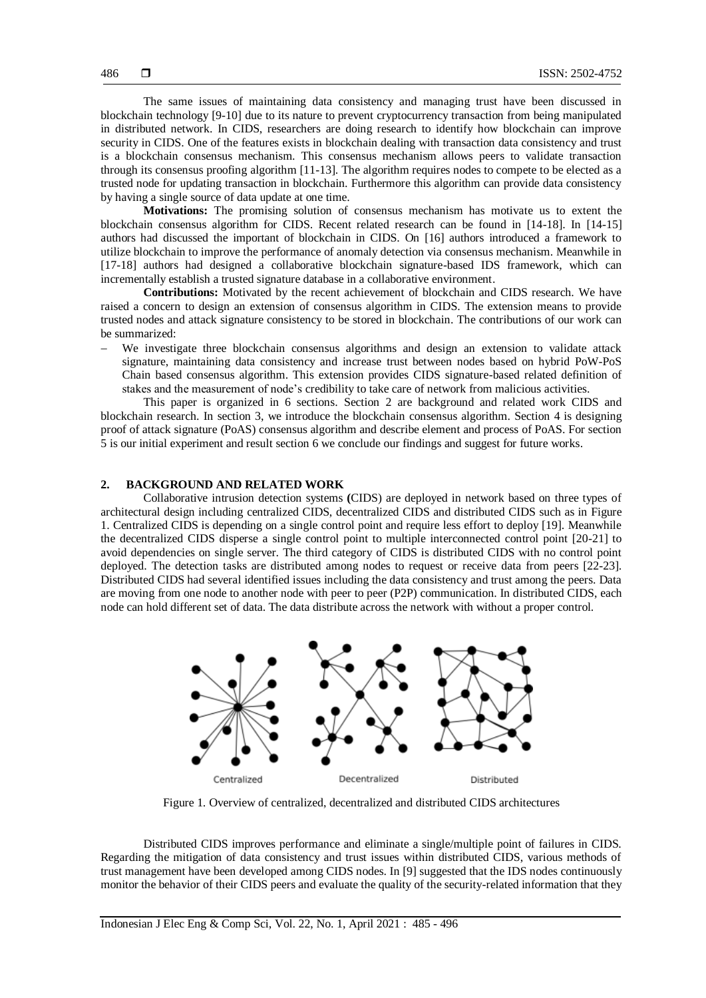The same issues of maintaining data consistency and managing trust have been discussed in blockchain technology [9-10] due to its nature to prevent cryptocurrency transaction from being manipulated in distributed network. In CIDS, researchers are doing research to identify how blockchain can improve security in CIDS. One of the features exists in blockchain dealing with transaction data consistency and trust is a blockchain consensus mechanism. This consensus mechanism allows peers to validate transaction through its consensus proofing algorithm [11-13]. The algorithm requires nodes to compete to be elected as a trusted node for updating transaction in blockchain. Furthermore this algorithm can provide data consistency by having a single source of data update at one time.

**Motivations:** The promising solution of consensus mechanism has motivate us to extent the blockchain consensus algorithm for CIDS. Recent related research can be found in [14-18]. In [14-15] authors had discussed the important of blockchain in CIDS. On [16] authors introduced a framework to utilize blockchain to improve the performance of anomaly detection via consensus mechanism. Meanwhile in [17-18] authors had designed a collaborative blockchain signature-based IDS framework, which can incrementally establish a trusted signature database in a collaborative environment.

**Contributions:** Motivated by the recent achievement of blockchain and CIDS research. We have raised a concern to design an extension of consensus algorithm in CIDS. The extension means to provide trusted nodes and attack signature consistency to be stored in blockchain. The contributions of our work can be summarized:

 We investigate three blockchain consensus algorithms and design an extension to validate attack signature, maintaining data consistency and increase trust between nodes based on hybrid PoW-PoS Chain based consensus algorithm. This extension provides CIDS signature-based related definition of stakes and the measurement of node's credibility to take care of network from malicious activities.

This paper is organized in 6 sections. Section 2 are background and related work CIDS and blockchain research. In section 3, we introduce the blockchain consensus algorithm. Section 4 is designing proof of attack signature (PoAS) consensus algorithm and describe element and process of PoAS. For section 5 is our initial experiment and result section 6 we conclude our findings and suggest for future works.

## **2. BACKGROUND AND RELATED WORK**

Collaborative intrusion detection systems **(**CIDS) are deployed in network based on three types of architectural design including centralized CIDS, decentralized CIDS and distributed CIDS such as in Figure 1. Centralized CIDS is depending on a single control point and require less effort to deploy [19]. Meanwhile the decentralized CIDS disperse a single control point to multiple interconnected control point [20-21] to avoid dependencies on single server. The third category of CIDS is distributed CIDS with no control point deployed. The detection tasks are distributed among nodes to request or receive data from peers [22-23]. Distributed CIDS had several identified issues including the data consistency and trust among the peers. Data are moving from one node to another node with peer to peer (P2P) communication. In distributed CIDS, each node can hold different set of data. The data distribute across the network with without a proper control.



Figure 1. Overview of centralized, decentralized and distributed CIDS architectures

Distributed CIDS improves performance and eliminate a single/multiple point of failures in CIDS. Regarding the mitigation of data consistency and trust issues within distributed CIDS, various methods of trust management have been developed among CIDS nodes. In [9] suggested that the IDS nodes continuously monitor the behavior of their CIDS peers and evaluate the quality of the security-related information that they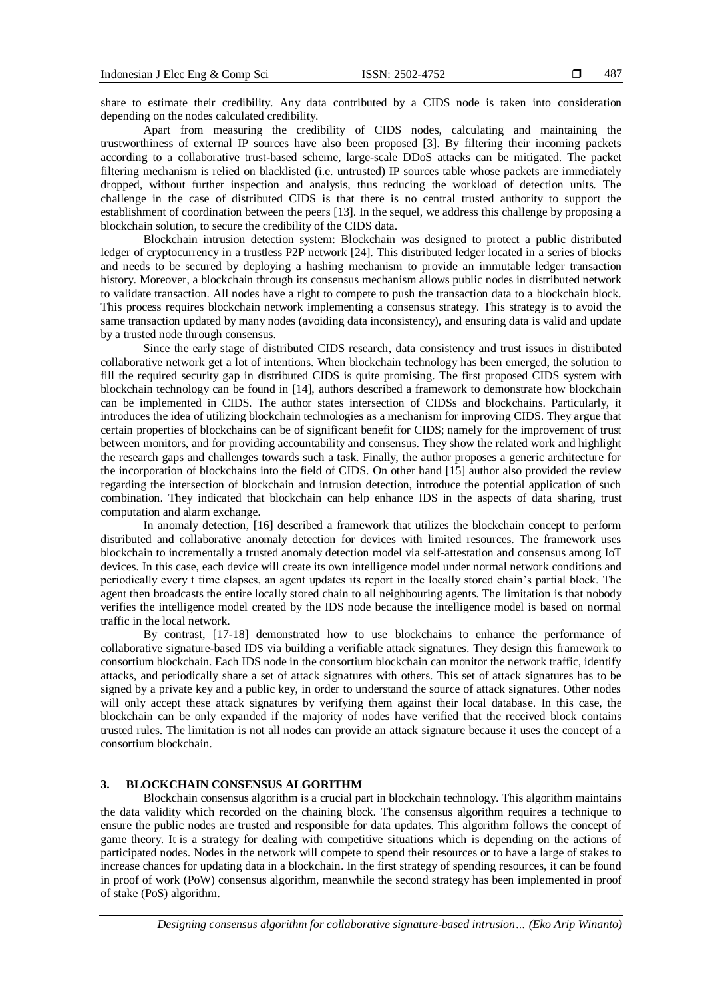share to estimate their credibility. Any data contributed by a CIDS node is taken into consideration depending on the nodes calculated credibility.

Apart from measuring the credibility of CIDS nodes, calculating and maintaining the trustworthiness of external IP sources have also been proposed [3]. By filtering their incoming packets according to a collaborative trust-based scheme, large-scale DDoS attacks can be mitigated. The packet filtering mechanism is relied on blacklisted (i.e. untrusted) IP sources table whose packets are immediately dropped, without further inspection and analysis, thus reducing the workload of detection units. The challenge in the case of distributed CIDS is that there is no central trusted authority to support the establishment of coordination between the peers [13]. In the sequel, we address this challenge by proposing a blockchain solution, to secure the credibility of the CIDS data.

Blockchain intrusion detection system: Blockchain was designed to protect a public distributed ledger of cryptocurrency in a trustless P2P network [24]. This distributed ledger located in a series of blocks and needs to be secured by deploying a hashing mechanism to provide an immutable ledger transaction history. Moreover, a blockchain through its consensus mechanism allows public nodes in distributed network to validate transaction. All nodes have a right to compete to push the transaction data to a blockchain block. This process requires blockchain network implementing a consensus strategy. This strategy is to avoid the same transaction updated by many nodes (avoiding data inconsistency), and ensuring data is valid and update by a trusted node through consensus.

Since the early stage of distributed CIDS research, data consistency and trust issues in distributed collaborative network get a lot of intentions. When blockchain technology has been emerged, the solution to fill the required security gap in distributed CIDS is quite promising. The first proposed CIDS system with blockchain technology can be found in [14], authors described a framework to demonstrate how blockchain can be implemented in CIDS. The author states intersection of CIDSs and blockchains. Particularly, it introduces the idea of utilizing blockchain technologies as a mechanism for improving CIDS. They argue that certain properties of blockchains can be of significant benefit for CIDS; namely for the improvement of trust between monitors, and for providing accountability and consensus. They show the related work and highlight the research gaps and challenges towards such a task. Finally, the author proposes a generic architecture for the incorporation of blockchains into the field of CIDS. On other hand [15] author also provided the review regarding the intersection of blockchain and intrusion detection, introduce the potential application of such combination. They indicated that blockchain can help enhance IDS in the aspects of data sharing, trust computation and alarm exchange.

In anomaly detection, [16] described a framework that utilizes the blockchain concept to perform distributed and collaborative anomaly detection for devices with limited resources. The framework uses blockchain to incrementally a trusted anomaly detection model via self-attestation and consensus among IoT devices. In this case, each device will create its own intelligence model under normal network conditions and periodically every t time elapses, an agent updates its report in the locally stored chain's partial block. The agent then broadcasts the entire locally stored chain to all neighbouring agents. The limitation is that nobody verifies the intelligence model created by the IDS node because the intelligence model is based on normal traffic in the local network.

By contrast, [17-18] demonstrated how to use blockchains to enhance the performance of collaborative signature-based IDS via building a verifiable attack signatures. They design this framework to consortium blockchain. Each IDS node in the consortium blockchain can monitor the network traffic, identify attacks, and periodically share a set of attack signatures with others. This set of attack signatures has to be signed by a private key and a public key, in order to understand the source of attack signatures. Other nodes will only accept these attack signatures by verifying them against their local database. In this case, the blockchain can be only expanded if the majority of nodes have verified that the received block contains trusted rules. The limitation is not all nodes can provide an attack signature because it uses the concept of a consortium blockchain.

## **3. BLOCKCHAIN CONSENSUS ALGORITHM**

Blockchain consensus algorithm is a crucial part in blockchain technology. This algorithm maintains the data validity which recorded on the chaining block. The consensus algorithm requires a technique to ensure the public nodes are trusted and responsible for data updates. This algorithm follows the concept of game theory. It is a strategy for dealing with competitive situations which is depending on the actions of participated nodes. Nodes in the network will compete to spend their resources or to have a large of stakes to increase chances for updating data in a blockchain. In the first strategy of spending resources, it can be found in proof of work (PoW) consensus algorithm, meanwhile the second strategy has been implemented in proof of stake (PoS) algorithm.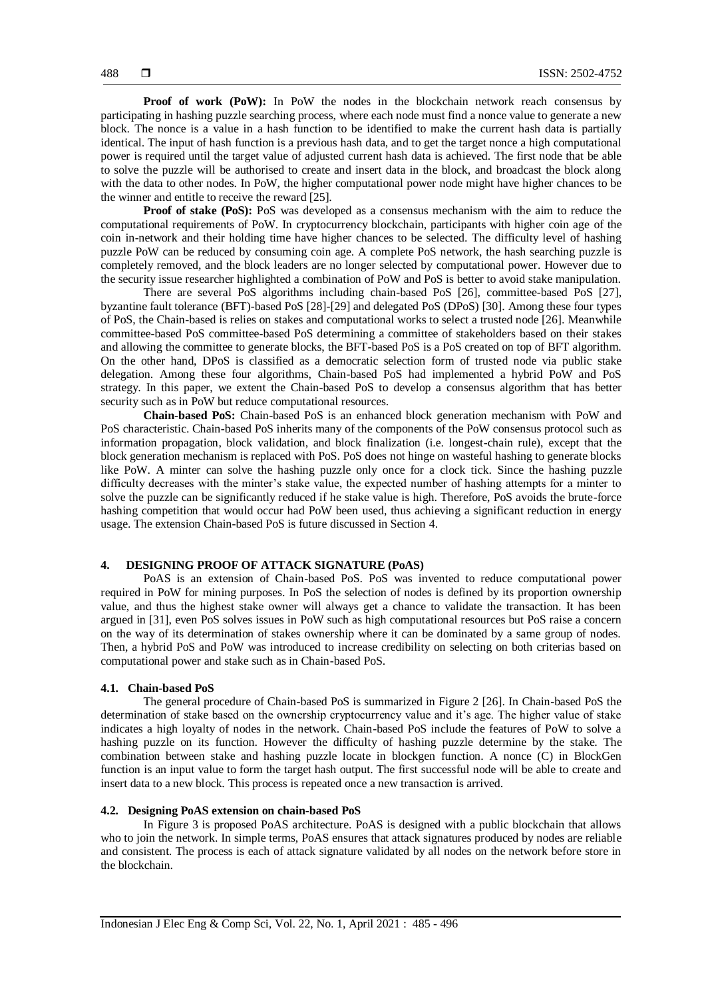**Proof of work (PoW):** In PoW the nodes in the blockchain network reach consensus by participating in hashing puzzle searching process, where each node must find a nonce value to generate a new block. The nonce is a value in a hash function to be identified to make the current hash data is partially identical. The input of hash function is a previous hash data, and to get the target nonce a high computational power is required until the target value of adjusted current hash data is achieved. The first node that be able to solve the puzzle will be authorised to create and insert data in the block, and broadcast the block along with the data to other nodes. In PoW, the higher computational power node might have higher chances to be the winner and entitle to receive the reward [25].

**Proof of stake (PoS):** PoS was developed as a consensus mechanism with the aim to reduce the computational requirements of PoW. In cryptocurrency blockchain, participants with higher coin age of the coin in-network and their holding time have higher chances to be selected. The difficulty level of hashing puzzle PoW can be reduced by consuming coin age. A complete PoS network, the hash searching puzzle is completely removed, and the block leaders are no longer selected by computational power. However due to the security issue researcher highlighted a combination of PoW and PoS is better to avoid stake manipulation.

There are several PoS algorithms including chain-based PoS [26], committee-based PoS [27], byzantine fault tolerance (BFT)-based PoS [28]-[29] and delegated PoS (DPoS) [30]. Among these four types of PoS, the Chain-based is relies on stakes and computational works to select a trusted node [26]. Meanwhile committee-based PoS committee-based PoS determining a committee of stakeholders based on their stakes and allowing the committee to generate blocks, the BFT-based PoS is a PoS created on top of BFT algorithm. On the other hand, DPoS is classified as a democratic selection form of trusted node via public stake delegation. Among these four algorithms, Chain-based PoS had implemented a hybrid PoW and PoS strategy. In this paper, we extent the Chain-based PoS to develop a consensus algorithm that has better security such as in PoW but reduce computational resources.

**Chain-based PoS:** Chain-based PoS is an enhanced block generation mechanism with PoW and PoS characteristic. Chain-based PoS inherits many of the components of the PoW consensus protocol such as information propagation, block validation, and block finalization (i.e. longest-chain rule), except that the block generation mechanism is replaced with PoS. PoS does not hinge on wasteful hashing to generate blocks like PoW. A minter can solve the hashing puzzle only once for a clock tick. Since the hashing puzzle difficulty decreases with the minter's stake value, the expected number of hashing attempts for a minter to solve the puzzle can be significantly reduced if he stake value is high. Therefore, PoS avoids the brute-force hashing competition that would occur had PoW been used, thus achieving a significant reduction in energy usage. The extension Chain-based PoS is future discussed in Section 4.

## **4. DESIGNING PROOF OF ATTACK SIGNATURE (PoAS)**

PoAS is an extension of Chain-based PoS. PoS was invented to reduce computational power required in PoW for mining purposes. In PoS the selection of nodes is defined by its proportion ownership value, and thus the highest stake owner will always get a chance to validate the transaction. It has been argued in [31], even PoS solves issues in PoW such as high computational resources but PoS raise a concern on the way of its determination of stakes ownership where it can be dominated by a same group of nodes. Then, a hybrid PoS and PoW was introduced to increase credibility on selecting on both criterias based on computational power and stake such as in Chain-based PoS.

#### **4.1. Chain-based PoS**

The general procedure of Chain-based PoS is summarized in Figure 2 [26]. In Chain-based PoS the determination of stake based on the ownership cryptocurrency value and it's age. The higher value of stake indicates a high loyalty of nodes in the network. Chain-based PoS include the features of PoW to solve a hashing puzzle on its function. However the difficulty of hashing puzzle determine by the stake. The combination between stake and hashing puzzle locate in blockgen function. A nonce (C) in BlockGen function is an input value to form the target hash output. The first successful node will be able to create and insert data to a new block. This process is repeated once a new transaction is arrived.

## **4.2. Designing PoAS extension on chain-based PoS**

In Figure 3 is proposed PoAS architecture. PoAS is designed with a public blockchain that allows who to join the network. In simple terms, PoAS ensures that attack signatures produced by nodes are reliable and consistent. The process is each of attack signature validated by all nodes on the network before store in the blockchain.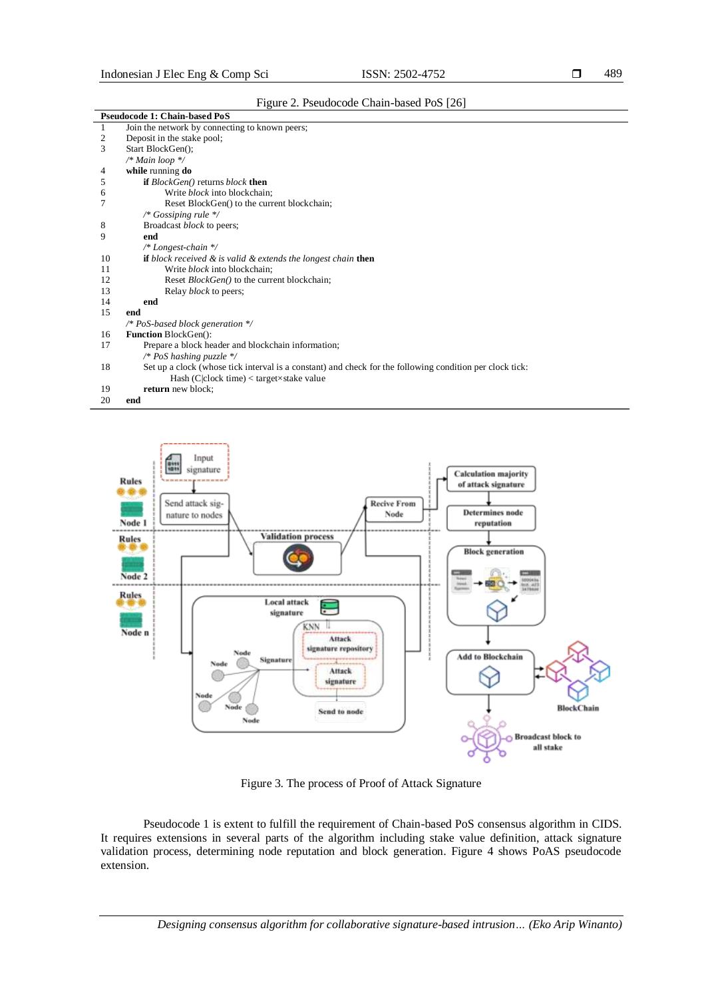|    | <b>Pseudocode 1: Chain-based PoS</b>                                                                     |
|----|----------------------------------------------------------------------------------------------------------|
| 1  | Join the network by connecting to known peers;                                                           |
| 2  | Deposit in the stake pool;                                                                               |
| 3  | Start BlockGen();                                                                                        |
|    | /* Main loop $\frac{*}{ }$                                                                               |
| 4  | while running do                                                                                         |
| 5  | <b>if</b> <i>BlockGen()</i> returns <i>block</i> <b>then</b>                                             |
| 6  | Write <i>block</i> into blockchain;                                                                      |
|    | Reset BlockGen() to the current blockchain;                                                              |
|    | /* Gossiping rule */                                                                                     |
| 8  | Broadcast <i>block</i> to peers;                                                                         |
| 9  | end                                                                                                      |
|    | $/* Longest-chain */$                                                                                    |
| 10 | <b>if</b> block received $\&$ is valid $\&$ extends the longest chain <b>then</b>                        |
| 11 | Write <i>block</i> into blockchain:                                                                      |
| 12 | Reset <i>BlockGen()</i> to the current blockchain;                                                       |
| 13 | Relay <i>block</i> to peers;                                                                             |
| 14 | end                                                                                                      |
| 15 | end                                                                                                      |
|    | /* PoS-based block generation $*/$                                                                       |
| 16 | <b>Function BlockGen():</b>                                                                              |
| 17 | Prepare a block header and blockchain information;                                                       |
|    | /* PoS hashing puzzle $*/$                                                                               |
| 18 | Set up a clock (whose tick interval is a constant) and check for the following condition per clock tick: |
|    | Hash (C clock time) $<$ target $\times$ stake value                                                      |
| 19 | return new block;                                                                                        |
| 20 | end                                                                                                      |



Figure 3. The process of Proof of Attack Signature

Pseudocode 1 is extent to fulfill the requirement of Chain-based PoS consensus algorithm in CIDS. It requires extensions in several parts of the algorithm including stake value definition, attack signature validation process, determining node reputation and block generation. Figure 4 shows PoAS pseudocode extension.

*Designing consensus algorithm for collaborative signature-based intrusion… (Eko Arip Winanto)*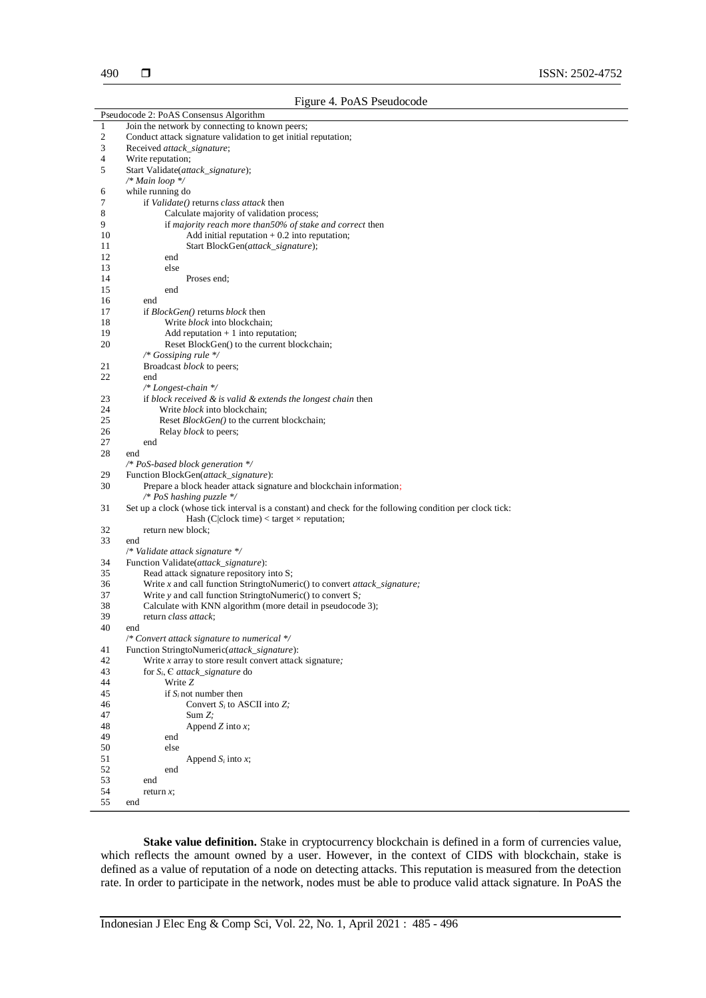|              | Pseudocode 2: PoAS Consensus Algorithm                                                                   |
|--------------|----------------------------------------------------------------------------------------------------------|
| $\mathbf{1}$ | Join the network by connecting to known peers;                                                           |
| 2            | Conduct attack signature validation to get initial reputation;                                           |
| 3            | Received attack signature;                                                                               |
| 4            | Write reputation;                                                                                        |
| 5            | Start Validate(attack_signature);                                                                        |
|              | $/*$ Main loop $*/$                                                                                      |
| 6            | while running do                                                                                         |
| 7            | if Validate() returns class attack then                                                                  |
| 8            | Calculate majority of validation process;                                                                |
| 9            | if majority reach more than50% of stake and correct then                                                 |
| 10           | Add initial reputation $+0.2$ into reputation;                                                           |
| 11           | Start BlockGen(attack_signature);                                                                        |
| 12           | end                                                                                                      |
| 13           | else                                                                                                     |
| 14           | Proses end;                                                                                              |
| 15           | end                                                                                                      |
| 16           | end                                                                                                      |
| 17           | if <i>BlockGen</i> () returns <i>block</i> then                                                          |
| 18           | Write <i>block</i> into blockchain;                                                                      |
| 19           | Add reputation $+1$ into reputation;                                                                     |
| 20           | Reset BlockGen() to the current blockchain;                                                              |
|              | /* Gossiping rule $*/$                                                                                   |
| 21           | Broadcast block to peers;                                                                                |
| 22           | end                                                                                                      |
|              | $/* Longest-chain */$                                                                                    |
|              |                                                                                                          |
| 23           | if block received & is valid & extends the longest chain then                                            |
| 24           | Write <i>block</i> into blockchain;                                                                      |
| 25           | Reset BlockGen() to the current blockchain;                                                              |
| 26           | Relay <i>block</i> to peers;                                                                             |
| 27           | end                                                                                                      |
| 28           | end                                                                                                      |
|              | /* PoS-based block generation */                                                                         |
| 29           | Function BlockGen(attack_signature):                                                                     |
| 30           | Prepare a block header attack signature and blockchain information;                                      |
|              | /* PoS hashing puzzle $*/$                                                                               |
| 31           | Set up a clock (whose tick interval is a constant) and check for the following condition per clock tick: |
|              | Hash (C clock time) < target $\times$ reputation;                                                        |
| 32           | return new block;                                                                                        |
| 33           | end                                                                                                      |
|              | /* Validate attack signature */                                                                          |
| 34           | Function Validate(attack_signature):                                                                     |
| 35           | Read attack signature repository into S;                                                                 |
| 36           | Write x and call function StringtoNumeric() to convert attack_signature;                                 |
| 37           | Write y and call function StringtoNumeric() to convert S;                                                |
| 38           | Calculate with KNN algorithm (more detail in pseudocode 3);                                              |
| 39           | return <i>class attack</i> ;                                                                             |
| 40           | end                                                                                                      |
|              | /* Convert attack signature to numerical */                                                              |
| 41           | Function StringtoNumeric(attack_signature):                                                              |
| 42           | Write $x$ array to store result convert attack signature;                                                |
| 43           | for $S_i$ , $\in$ attack_signature do                                                                    |
| 44           | Write Z                                                                                                  |
| 45           | if $S_i$ not number then                                                                                 |
| 46           | Convert $S_i$ to ASCII into $Z_i$ :                                                                      |
| 47           | Sum Z                                                                                                    |
| 48           | Append $Z$ into $x$ ;                                                                                    |
| 49           | end                                                                                                      |
| 50           | else                                                                                                     |
| 51           | Append $S_i$ into x;                                                                                     |
| 52           | end                                                                                                      |
| 53           | end                                                                                                      |
| 54           | return $x$ ;                                                                                             |
| 55           | end                                                                                                      |
|              |                                                                                                          |

**Stake value definition.** Stake in cryptocurrency blockchain is defined in a form of currencies value, which reflects the amount owned by a user. However, in the context of CIDS with blockchain, stake is defined as a value of reputation of a node on detecting attacks. This reputation is measured from the detection rate. In order to participate in the network, nodes must be able to produce valid attack signature. In PoAS the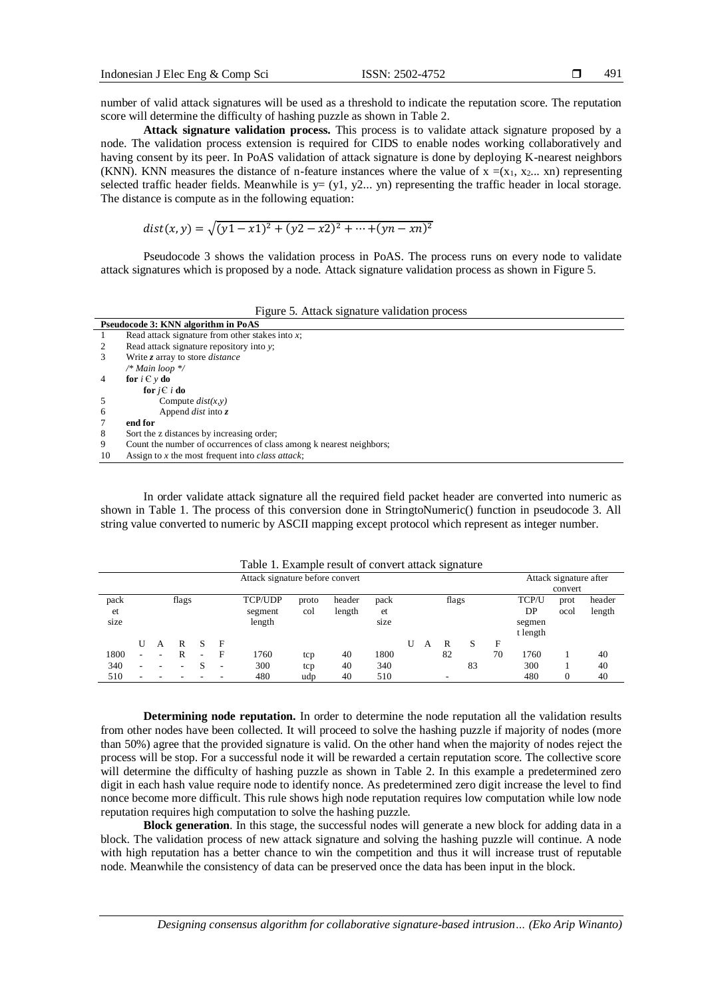number of valid attack signatures will be used as a threshold to indicate the reputation score. The reputation score will determine the difficulty of hashing puzzle as shown in Table 2.

**Attack signature validation process.** This process is to validate attack signature proposed by a node. The validation process extension is required for CIDS to enable nodes working collaboratively and having consent by its peer. In PoAS validation of attack signature is done by deploying K-nearest neighbors (KNN). KNN measures the distance of n-feature instances where the value of  $x = (x_1, x_2, \ldots, x_n)$  representing selected traffic header fields. Meanwhile is  $y=(y1, y2... yn)$  representing the traffic header in local storage. The distance is compute as in the following equation:

$$
dist(x, y) = \sqrt{(y1 - x1)^2 + (y2 - x2)^2 + \dots + (yn - xn)^2}
$$

Pseudocode 3 shows the validation process in PoAS. The process runs on every node to validate attack signatures which is proposed by a node. Attack signature validation process as shown in Figure 5.

|  |  | Figure 5. Attack signature validation process |  |
|--|--|-----------------------------------------------|--|
|  |  |                                               |  |

|                | Pseudocode 3: KNN algorithm in PoAS                                 |
|----------------|---------------------------------------------------------------------|
|                | Read attack signature from other stakes into $x$ ;                  |
| 2              | Read attack signature repository into y;                            |
| 3              | Write z array to store <i>distance</i>                              |
|                | /* Main loop */                                                     |
| $\overline{4}$ | for $i \in y$ do                                                    |
|                | for $i \in i$ do                                                    |
|                | Compute $dist(x, y)$                                                |
| 6              | Append <i>dist</i> into $\zeta$                                     |
| 7              | end for                                                             |
| 8              | Sort the z distances by increasing order;                           |
| 9              | Count the number of occurrences of class among k nearest neighbors; |
| 10             | Assign to x the most frequent into class attack;                    |
|                |                                                                     |

In order validate attack signature all the required field packet header are converted into numeric as shown in Table 1. The process of this conversion done in StringtoNumeric() function in pseudocode 3. All string value converted to numeric by ASCII mapping except protocol which represent as integer number.

|                    |    |   |       |    |   | Table 1. Example result of convert attack signature |              |                  |                    |   |   |       |    |    |                                   |                                   |                  |
|--------------------|----|---|-------|----|---|-----------------------------------------------------|--------------|------------------|--------------------|---|---|-------|----|----|-----------------------------------|-----------------------------------|------------------|
|                    |    |   |       |    |   | Attack signature before convert                     |              |                  |                    |   |   |       |    |    |                                   | Attack signature after<br>convert |                  |
| pack<br>et<br>size |    |   | flags |    |   | <b>TCP/UDP</b><br>segment<br>length                 | proto<br>col | header<br>length | pack<br>et<br>size |   |   | flags |    |    | TCP/U<br>DP<br>segmen<br>t length | prot<br>ocol                      | header<br>length |
|                    | U  | A | R     | -S | F |                                                     |              |                  |                    | U | A | R     | S  | F  |                                   |                                   |                  |
| 1800               | ۰. | ۰ | R     |    | F | 1760                                                | tcp          | 40               | 1800               |   |   | 82    |    | 70 | 1760                              |                                   | 40               |
| 340                | ۰  |   |       |    | ۰ | 300                                                 | tcp          | 40               | 340                |   |   |       | 83 |    | 300                               |                                   | 40               |
| 510                |    |   |       |    |   | 480                                                 | udp          | 40               | 510                |   |   |       |    |    | 480                               | 0                                 | 40               |

**Determining node reputation.** In order to determine the node reputation all the validation results from other nodes have been collected. It will proceed to solve the hashing puzzle if majority of nodes (more than 50%) agree that the provided signature is valid. On the other hand when the majority of nodes reject the process will be stop. For a successful node it will be rewarded a certain reputation score. The collective score will determine the difficulty of hashing puzzle as shown in Table 2. In this example a predetermined zero digit in each hash value require node to identify nonce. As predetermined zero digit increase the level to find nonce become more difficult. This rule shows high node reputation requires low computation while low node reputation requires high computation to solve the hashing puzzle.

**Block generation**. In this stage, the successful nodes will generate a new block for adding data in a block. The validation process of new attack signature and solving the hashing puzzle will continue. A node with high reputation has a better chance to win the competition and thus it will increase trust of reputable node. Meanwhile the consistency of data can be preserved once the data has been input in the block.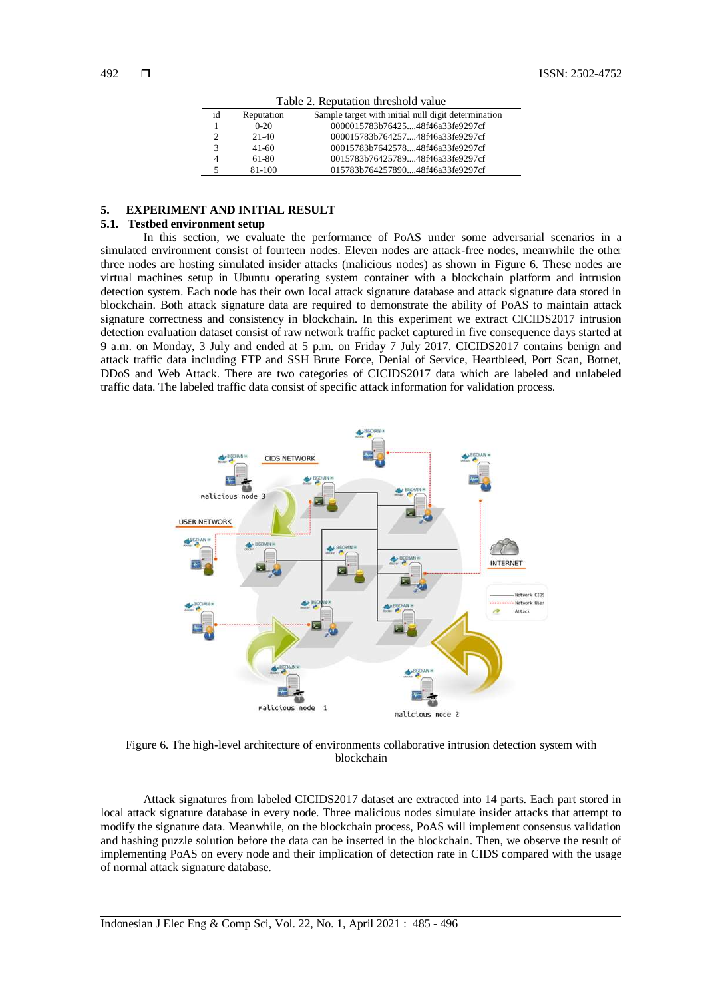| Table 2. Reputation threshold value |            |                                                     |  |  |  |  |
|-------------------------------------|------------|-----------------------------------------------------|--|--|--|--|
| id                                  | Reputation | Sample target with initial null digit determination |  |  |  |  |
|                                     | $0 - 20$   | 0000015783b7642548f46a33fe9297cf                    |  |  |  |  |
|                                     | $21-40$    | 000015783b76425748f46a33fe9297cf                    |  |  |  |  |
|                                     | $41-60$    | 00015783b764257848f46a33fe9297cf                    |  |  |  |  |
|                                     | 61-80      | 0015783b7642578948f46a33fe9297cf                    |  |  |  |  |
|                                     | 81-100     | 015783b76425789048f46a33fe9297cf                    |  |  |  |  |

## **5. EXPERIMENT AND INITIAL RESULT**

## **5.1. Testbed environment setup**

In this section, we evaluate the performance of PoAS under some adversarial scenarios in a simulated environment consist of fourteen nodes. Eleven nodes are attack-free nodes, meanwhile the other three nodes are hosting simulated insider attacks (malicious nodes) as shown in Figure 6. These nodes are virtual machines setup in Ubuntu operating system container with a blockchain platform and intrusion detection system. Each node has their own local attack signature database and attack signature data stored in blockchain. Both attack signature data are required to demonstrate the ability of PoAS to maintain attack signature correctness and consistency in blockchain. In this experiment we extract CICIDS2017 intrusion detection evaluation dataset consist of raw network traffic packet captured in five consequence days started at 9 a.m. on Monday, 3 July and ended at 5 p.m. on Friday 7 July 2017. CICIDS2017 contains benign and attack traffic data including FTP and SSH Brute Force, Denial of Service, Heartbleed, Port Scan, Botnet, DDoS and Web Attack. There are two categories of CICIDS2017 data which are labeled and unlabeled traffic data. The labeled traffic data consist of specific attack information for validation process.



Figure 6. The high-level architecture of environments collaborative intrusion detection system with blockchain

Attack signatures from labeled CICIDS2017 dataset are extracted into 14 parts. Each part stored in local attack signature database in every node. Three malicious nodes simulate insider attacks that attempt to modify the signature data. Meanwhile, on the blockchain process, PoAS will implement consensus validation and hashing puzzle solution before the data can be inserted in the blockchain. Then, we observe the result of implementing PoAS on every node and their implication of detection rate in CIDS compared with the usage of normal attack signature database.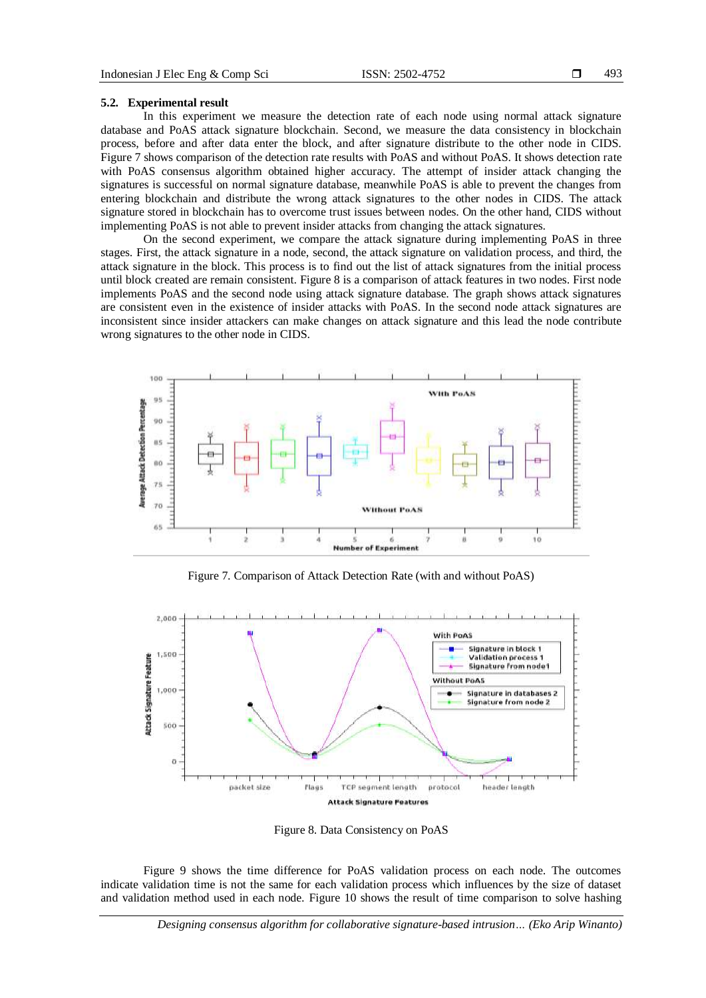## **5.2. Experimental result**

In this experiment we measure the detection rate of each node using normal attack signature database and PoAS attack signature blockchain. Second, we measure the data consistency in blockchain process, before and after data enter the block, and after signature distribute to the other node in CIDS. Figure 7 shows comparison of the detection rate results with PoAS and without PoAS. It shows detection rate with PoAS consensus algorithm obtained higher accuracy. The attempt of insider attack changing the signatures is successful on normal signature database, meanwhile PoAS is able to prevent the changes from entering blockchain and distribute the wrong attack signatures to the other nodes in CIDS. The attack signature stored in blockchain has to overcome trust issues between nodes. On the other hand, CIDS without implementing PoAS is not able to prevent insider attacks from changing the attack signatures.

On the second experiment, we compare the attack signature during implementing PoAS in three stages. First, the attack signature in a node, second, the attack signature on validation process, and third, the attack signature in the block. This process is to find out the list of attack signatures from the initial process until block created are remain consistent. Figure 8 is a comparison of attack features in two nodes. First node implements PoAS and the second node using attack signature database. The graph shows attack signatures are consistent even in the existence of insider attacks with PoAS. In the second node attack signatures are inconsistent since insider attackers can make changes on attack signature and this lead the node contribute wrong signatures to the other node in CIDS.



Figure 7. Comparison of Attack Detection Rate (with and without PoAS)



Figure 8. Data Consistency on PoAS

Figure 9 shows the time difference for PoAS validation process on each node. The outcomes indicate validation time is not the same for each validation process which influences by the size of dataset and validation method used in each node. Figure 10 shows the result of time comparison to solve hashing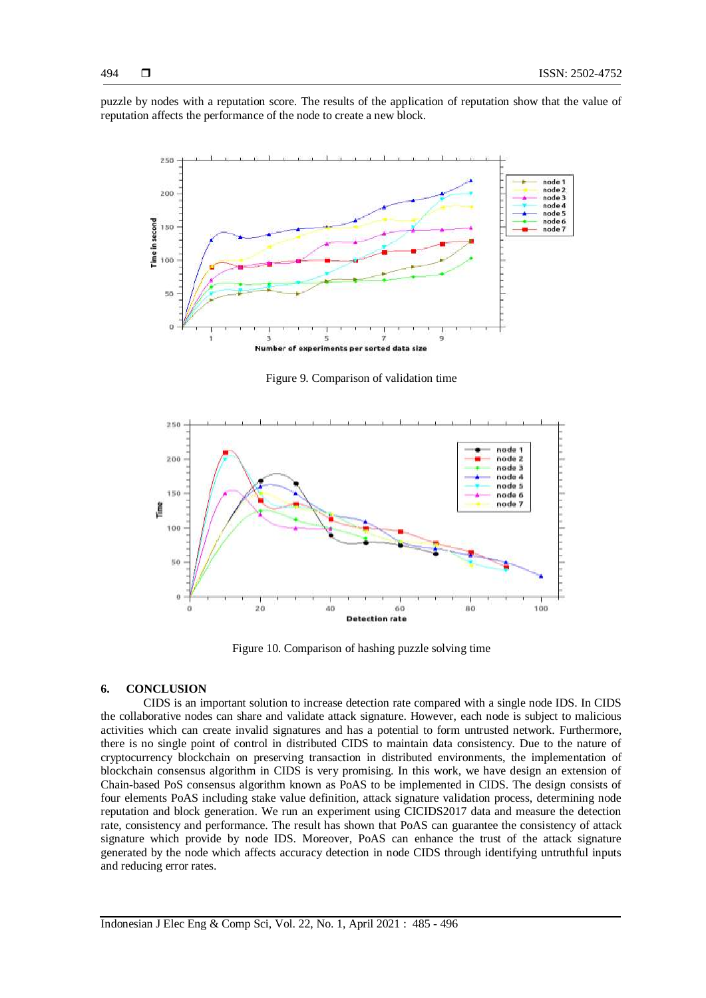puzzle by nodes with a reputation score. The results of the application of reputation show that the value of reputation affects the performance of the node to create a new block.



Figure 9. Comparison of validation time



Figure 10. Comparison of hashing puzzle solving time

#### **6. CONCLUSION**

CIDS is an important solution to increase detection rate compared with a single node IDS. In CIDS the collaborative nodes can share and validate attack signature. However, each node is subject to malicious activities which can create invalid signatures and has a potential to form untrusted network. Furthermore, there is no single point of control in distributed CIDS to maintain data consistency. Due to the nature of cryptocurrency blockchain on preserving transaction in distributed environments, the implementation of blockchain consensus algorithm in CIDS is very promising. In this work, we have design an extension of Chain-based PoS consensus algorithm known as PoAS to be implemented in CIDS. The design consists of four elements PoAS including stake value definition, attack signature validation process, determining node reputation and block generation. We run an experiment using CICIDS2017 data and measure the detection rate, consistency and performance. The result has shown that PoAS can guarantee the consistency of attack signature which provide by node IDS. Moreover, PoAS can enhance the trust of the attack signature generated by the node which affects accuracy detection in node CIDS through identifying untruthful inputs and reducing error rates.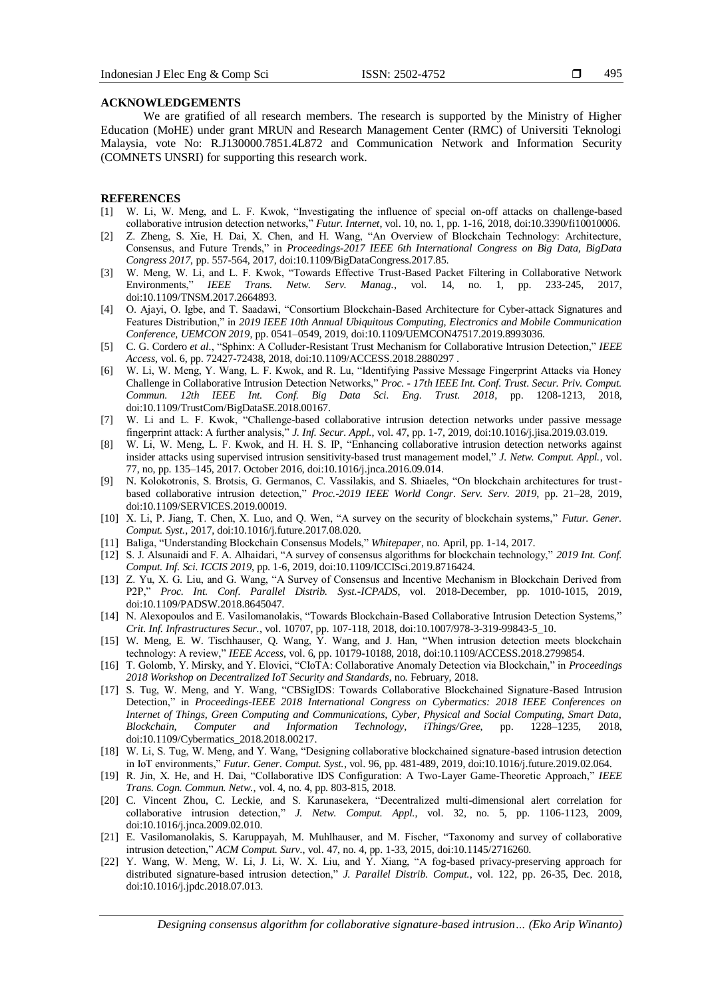### **ACKNOWLEDGEMENTS**

We are gratified of all research members. The research is supported by the Ministry of Higher Education (MoHE) under grant MRUN and Research Management Center (RMC) of Universiti Teknologi Malaysia, vote No: R.J130000.7851.4L872 and Communication Network and Information Security (COMNETS UNSRI) for supporting this research work.

#### **REFERENCES**

- [1] W. Li, W. Meng, and L. F. Kwok, "Investigating the influence of special on-off attacks on challenge-based collaborative intrusion detection networks," *Futur. Internet*, vol. 10, no. 1, pp. 1-16, 2018, doi:10.3390/fi10010006.
- [2] Z. Zheng, S. Xie, H. Dai, X. Chen, and H. Wang, "An Overview of Blockchain Technology: Architecture, Consensus, and Future Trends," in *Proceedings-2017 IEEE 6th International Congress on Big Data, BigData Congress 2017*, pp. 557-564, 2017, doi:10.1109/BigDataCongress.2017.85.
- [3] W. Meng, W. Li, and L. F. Kwok, "Towards Effective Trust-Based Packet Filtering in Collaborative Network Environments," *IEEE Trans. Netw. Serv. Manag.*, vol. 14, no. 1, pp. 233-245, 2017, doi:10.1109/TNSM.2017.2664893.
- [4] O. Ajayi, O. Igbe, and T. Saadawi, "Consortium Blockchain-Based Architecture for Cyber-attack Signatures and Features Distribution," in *2019 IEEE 10th Annual Ubiquitous Computing, Electronics and Mobile Communication Conference, UEMCON 2019*, pp. 0541–0549, 2019, doi:10.1109/UEMCON47517.2019.8993036.
- [5] C. G. Cordero *et al.*, "Sphinx: A Colluder-Resistant Trust Mechanism for Collaborative Intrusion Detection," *IEEE Access*, vol. 6, pp. 72427-72438, 2018, doi:10.1109/ACCESS.2018.2880297 .
- [6] W. Li, W. Meng, Y. Wang, L. F. Kwok, and R. Lu, "Identifying Passive Message Fingerprint Attacks via Honey Challenge in Collaborative Intrusion Detection Networks," *Proc. - 17th IEEE Int. Conf. Trust. Secur. Priv. Comput. Commun. 12th IEEE Int. Conf. Big Data Sci. Eng. Trust. 2018*, pp. 1208-1213, 2018, doi:10.1109/TrustCom/BigDataSE.2018.00167.
- [7] W. Li and L. F. Kwok, "Challenge-based collaborative intrusion detection networks under passive message fingerprint attack: A further analysis," *J. Inf. Secur. Appl.*, vol. 47, pp. 1-7, 2019, doi:10.1016/j.jisa.2019.03.019.
- [8] W. Li, W. Meng, L. F. Kwok, and H. H. S. IP, "Enhancing collaborative intrusion detection networks against insider attacks using supervised intrusion sensitivity-based trust management model," *J. Netw. Comput. Appl.*, vol. 77, no, pp. 135–145, 2017. October 2016, doi:10.1016/j.jnca.2016.09.014.
- [9] N. Kolokotronis, S. Brotsis, G. Germanos, C. Vassilakis, and S. Shiaeles, "On blockchain architectures for trustbased collaborative intrusion detection," *Proc.-2019 IEEE World Congr. Serv. Serv. 2019*, pp. 21–28, 2019, doi:10.1109/SERVICES.2019.00019.
- [10] X. Li, P. Jiang, T. Chen, X. Luo, and Q. Wen, "A survey on the security of blockchain systems," *Futur. Gener. Comput. Syst.*, 2017, doi:10.1016/j.future.2017.08.020.
- [11] Baliga, "Understanding Blockchain Consensus Models," *Whitepaper*, no. April, pp. 1-14, 2017.
- [12] S. J. Alsunaidi and F. A. Alhaidari, "A survey of consensus algorithms for blockchain technology," *2019 Int. Conf. Comput. Inf. Sci. ICCIS 2019*, pp. 1-6, 2019, doi:10.1109/ICCISci.2019.8716424.
- [13] Z. Yu, X. G. Liu, and G. Wang, "A Survey of Consensus and Incentive Mechanism in Blockchain Derived from P2P," *Proc. Int. Conf. Parallel Distrib. Syst.-ICPADS*, vol. 2018-December, pp. 1010-1015, 2019, doi:10.1109/PADSW.2018.8645047.
- [14] N. Alexopoulos and E. Vasilomanolakis, "Towards Blockchain-Based Collaborative Intrusion Detection Systems," *Crit. Inf. Infrastructures Secur.*, vol. 10707, pp. 107-118, 2018, doi:10.1007/978-3-319-99843-5\_10.
- [15] W. Meng, E. W. Tischhauser, Q. Wang, Y. Wang, and J. Han, "When intrusion detection meets blockchain technology: A review," *IEEE Access*, vol. 6, pp. 10179-10188, 2018, doi:10.1109/ACCESS.2018.2799854.
- [16] T. Golomb, Y. Mirsky, and Y. Elovici, "CIoTA: Collaborative Anomaly Detection via Blockchain," in *Proceedings 2018 Workshop on Decentralized IoT Security and Standards*, no. February, 2018.
- [17] S. Tug, W. Meng, and Y. Wang, "CBSigIDS: Towards Collaborative Blockchained Signature-Based Intrusion Detection," in *Proceedings-IEEE 2018 International Congress on Cybermatics: 2018 IEEE Conferences on Internet of Things, Green Computing and Communications, Cyber, Physical and Social Computing, Smart Data, Blockchain, Computer and Information Technology, iThings/Gree*, pp. 1228–1235, 2018, doi:10.1109/Cybermatics\_2018.2018.00217.
- [18] W. Li, S. Tug, W. Meng, and Y. Wang, "Designing collaborative blockchained signature-based intrusion detection in IoT environments," *Futur. Gener. Comput. Syst.*, vol. 96, pp. 481-489, 2019, doi:10.1016/j.future.2019.02.064.
- [19] R. Jin, X. He, and H. Dai, "Collaborative IDS Configuration: A Two-Layer Game-Theoretic Approach," *IEEE Trans. Cogn. Commun. Netw.*, vol. 4, no. 4, pp. 803-815, 2018.
- [20] C. Vincent Zhou, C. Leckie, and S. Karunasekera, "Decentralized multi-dimensional alert correlation for collaborative intrusion detection," *J. Netw. Comput. Appl.*, vol. 32, no. 5, pp. 1106-1123, 2009, doi:10.1016/j.jnca.2009.02.010.
- [21] E. Vasilomanolakis, S. Karuppayah, M. Muhlhauser, and M. Fischer, "Taxonomy and survey of collaborative intrusion detection," *ACM Comput. Surv.*, vol. 47, no. 4, pp. 1-33, 2015, doi:10.1145/2716260.
- [22] Y. Wang, W. Meng, W. Li, J. Li, W. X. Liu, and Y. Xiang, "A fog-based privacy-preserving approach for distributed signature-based intrusion detection," *J. Parallel Distrib. Comput.*, vol. 122, pp. 26-35, Dec. 2018, doi:10.1016/j.jpdc.2018.07.013.